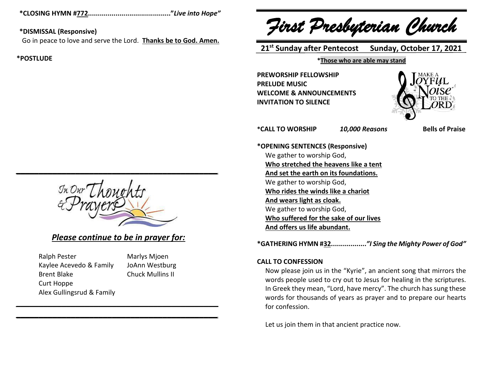**\*CLOSING HYMN #772.........................................."***Live into Hope"*

# **\*DISMISSAL (Responsive)**

Go in peace to love and serve the Lord. **Thanks be to God. Amen.**

# **\*POSTLUDE**

*\_\_\_\_\_\_\_\_\_\_\_\_\_\_\_\_\_\_\_\_\_\_\_\_\_\_\_\_\_\_\_\_\_\_\_\_\_\_\_\_\_\_\_\_*

# *Please continue to be in prayer for:*

*\_\_\_\_\_\_\_\_\_\_\_\_\_\_\_\_\_\_\_\_\_\_\_\_\_\_\_\_\_\_\_\_\_\_\_\_\_\_\_\_\_\_\_\_ \_\_\_\_\_\_\_\_\_\_\_\_\_\_\_\_\_\_\_\_\_\_\_\_\_\_\_\_\_\_\_\_\_\_\_\_\_\_\_\_\_\_\_\_*

| <b>Ralph Pester</b>       |
|---------------------------|
| Kaylee Acevedo & Family   |
| <b>Brent Blake</b>        |
| Curt Hoppe                |
| Alex Gullingsrud & Family |

**Marlys Mjoen** JoAnn Westburg Chuck Mullins II

*First Presbyterian Church*

 **21 st Sunday after Pentecost Sunday, October 17, 2021**

# **\*Those who are able may stand**

**PREWORSHIP FELLOWSHIP PRELUDE MUSIC WELCOME & ANNOUNCEMENTS INVITATION TO SILENCE**



**\*CALL TO WORSHIP** *10,000 Reasons* **Bells of Praise**

**\*OPENING SENTENCES (Responsive)** We gather to worship God, **Who stretched the heavens like a tent And set the earth on its foundations.** We gather to worship God, **Who rides the winds like a chariot And wears light as cloak.** We gather to worship God, **Who suffered for the sake of our lives And offers us life abundant.**

**\*GATHERING HYMN #32..................***"I Sing the Mighty Power of God"*

# **CALL TO CONFESSION**

Now please join us in the "Kyrie", an ancient song that mirrors the words people used to cry out to Jesus for healing in the scriptures. In Greek they mean, "Lord, have mercy". The church has sung these words for thousands of years as prayer and to prepare our hearts for confession.

Let us join them in that ancient practice now.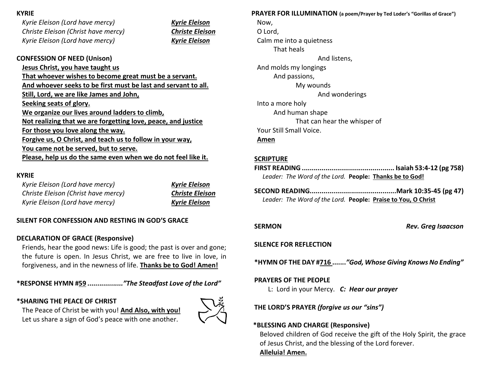# **KYRIE**

*Kyrie Eleison (Lord have mercy) Kyrie Eleison Christe Eleison (Christ have mercy) Christe Eleison Kyrie Eleison (Lord have mercy) Kyrie Eleison*

# **CONFESSION OF NEED (Unison)**

**Jesus Christ, you have taught us That whoever wishes to become great must be a servant. And whoever seeks to be first must be last and servant to all. Still, Lord, we are like James and John, Seeking seats of glory. We organize our lives around ladders to climb, Not realizing that we are forgetting love, peace, and justice For those you love along the way. Forgive us, O Christ, and teach us to follow in your way, You came not be served, but to serve. Please, help us do the same even when we do not feel like it.**

# **KYRIE**

| Kyrie Eleison (Lord have mercy)     | <b>Kyrie Eleison</b>   |
|-------------------------------------|------------------------|
| Christe Eleison (Christ have mercy) | <b>Christe Eleison</b> |
| Kyrie Eleison (Lord have mercy)     | <b>Kyrie Eleison</b>   |

# **SILENT FOR CONFESSION AND RESTING IN GOD'S GRACE**

# **DECLARATION OF GRACE (Responsive)**

Friends, hear the good news: Life is good; the past is over and gone; the future is open. In Jesus Christ, we are free to live in love, in forgiveness, and in the newness of life. **Thanks be to God! Amen!**

**\*RESPONSE HYMN #59** *.................."The Steadfast Love of the Lord"*

# **\*SHARING THE PEACE OF CHRIST**

The Peace of Christ be with you! **And Also, with you!** Let us share a sign of God's peace with one another.



# **PRAYER FOR ILLUMINATION (a poem/Prayer by Ted Loder's "Gorillas of Grace")**

Now, O Lord, Calm me into a quietness That heals And listens, And molds my longings And passions, My wounds And wonderings Into a more holy And human shape That can hear the whisper of Your Still Small Voice. **Amen**

# **SCRIPTURE**

- **FIRST READING ............................................... Isaiah 53:4-12 (pg 758)** *Leader: The Word of the Lord.* **People: Thanks be to God!**
- **SECOND READING............................................Mark 10:35-45 (pg 47)** *Leader: The Word of the Lord.* **People: Praise to You, O Christ**

**SERMON** *Rev. Greg Isaacson*

# **SILENCE FOR REFLECTION**

**\*HYMN OF THE DAY #716 .......***"God, Whose Giving Knows No Ending"*

# **PRAYERS OF THE PEOPLE**

L: Lord in your Mercy. *C: Hear our prayer*

**THE LORD'S PRAYER** *(forgive us our "sins")*

# **\*BLESSING AND CHARGE (Responsive)**

Beloved children of God receive the gift of the Holy Spirit, the grace of Jesus Christ, and the blessing of the Lord forever. **Alleluia! Amen.**